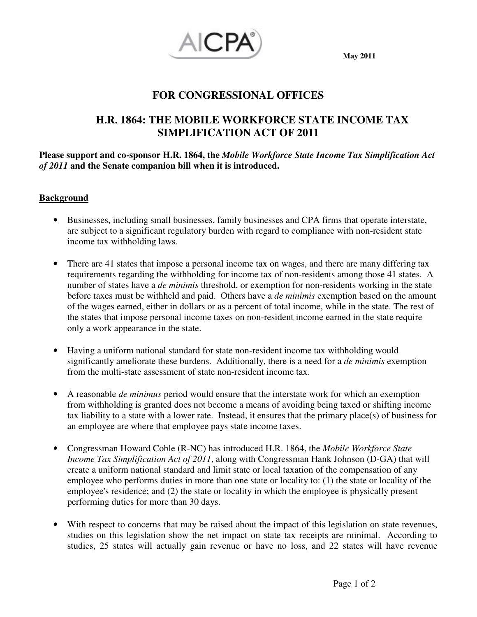

## **FOR CONGRESSIONAL OFFICES**

# **H.R. 1864: THE MOBILE WORKFORCE STATE INCOME TAX SIMPLIFICATION ACT OF 2011**

**Please support and co-sponsor H.R. 1864, the** *Mobile Workforce State Income Tax Simplification Act of 2011* **and the Senate companion bill when it is introduced.** 

#### **Background**

- Businesses, including small businesses, family businesses and CPA firms that operate interstate, are subject to a significant regulatory burden with regard to compliance with non-resident state income tax withholding laws.
- There are 41 states that impose a personal income tax on wages, and there are many differing tax requirements regarding the withholding for income tax of non-residents among those 41 states. A number of states have a *de minimis* threshold, or exemption for non-residents working in the state before taxes must be withheld and paid. Others have a *de minimis* exemption based on the amount of the wages earned, either in dollars or as a percent of total income, while in the state. The rest of the states that impose personal income taxes on non-resident income earned in the state require only a work appearance in the state.
- Having a uniform national standard for state non-resident income tax withholding would significantly ameliorate these burdens. Additionally, there is a need for a *de minimis* exemption from the multi-state assessment of state non-resident income tax.
- A reasonable *de minimus* period would ensure that the interstate work for which an exemption from withholding is granted does not become a means of avoiding being taxed or shifting income tax liability to a state with a lower rate. Instead, it ensures that the primary place(s) of business for an employee are where that employee pays state income taxes.
- Congressman Howard Coble (R-NC) has introduced H.R. 1864, the *Mobile Workforce State Income Tax Simplification Act of 2011*, along with Congressman Hank Johnson (D-GA) that will create a uniform national standard and limit state or local taxation of the compensation of any employee who performs duties in more than one state or locality to: (1) the state or locality of the employee's residence; and (2) the state or locality in which the employee is physically present performing duties for more than 30 days.
- With respect to concerns that may be raised about the impact of this legislation on state revenues, studies on this legislation show the net impact on state tax receipts are minimal. According to studies, 25 states will actually gain revenue or have no loss, and 22 states will have revenue